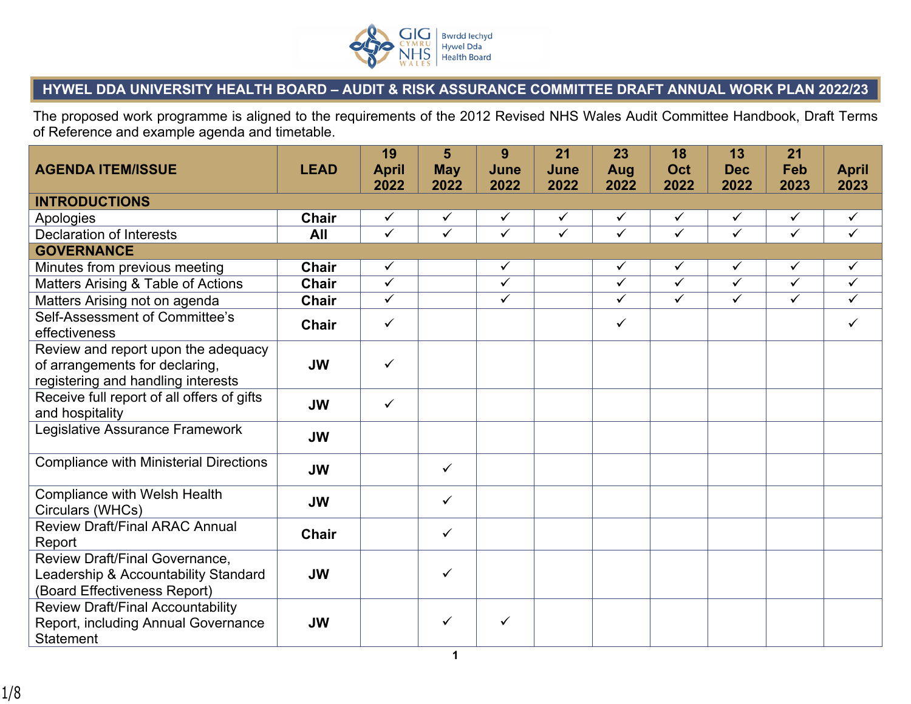

## **HYWEL DDA UNIVERSITY HEALTH BOARD – AUDIT & RISK ASSURANCE COMMITTEE DRAFT ANNUAL WORK PLAN 2022/23**

The proposed work programme is aligned to the requirements of the 2012 Revised NHS Wales Audit Committee Handbook, Draft Terms of Reference and example agenda and timetable.

| <b>AGENDA ITEM/ISSUE</b>                                                                                    | <b>LEAD</b>  | 19<br><b>April</b> | 5<br><b>May</b>         | 9<br>June               | 21<br>June              | 23<br>Aug               | 18<br>Oct               | 13<br><b>Dec</b>        | 21<br>Feb               | <b>April</b> |
|-------------------------------------------------------------------------------------------------------------|--------------|--------------------|-------------------------|-------------------------|-------------------------|-------------------------|-------------------------|-------------------------|-------------------------|--------------|
|                                                                                                             |              | 2022               | 2022                    | 2022                    | 2022                    | 2022                    | 2022                    | 2022                    | 2023                    | 2023         |
| <b>INTRODUCTIONS</b>                                                                                        |              |                    |                         |                         |                         |                         |                         |                         |                         |              |
| Apologies                                                                                                   | <b>Chair</b> | $\checkmark$       | $\checkmark$            | $\checkmark$            | $\checkmark$            | $\checkmark$            | $\checkmark$            | $\checkmark$            | $\checkmark$            | $\checkmark$ |
| <b>Declaration of Interests</b>                                                                             | All          | $\checkmark$       | $\overline{\checkmark}$ | $\overline{\checkmark}$ | $\overline{\checkmark}$ | $\overline{\checkmark}$ | $\overline{\checkmark}$ | $\overline{\checkmark}$ | $\overline{\checkmark}$ | $\checkmark$ |
| <b>GOVERNANCE</b>                                                                                           |              |                    |                         |                         |                         |                         |                         |                         |                         |              |
| Minutes from previous meeting                                                                               | Chair        | $\checkmark$       |                         | $\checkmark$            |                         | $\checkmark$            | ✓                       | $\checkmark$            | $\checkmark$            | $\checkmark$ |
| Matters Arising & Table of Actions                                                                          | Chair        | $\checkmark$       |                         | $\checkmark$            |                         | $\checkmark$            | $\overline{\checkmark}$ | $\overline{\checkmark}$ | $\overline{\checkmark}$ | $\checkmark$ |
| Matters Arising not on agenda                                                                               | <b>Chair</b> | $\checkmark$       |                         | $\checkmark$            |                         | $\checkmark$            | $\checkmark$            | $\overline{\checkmark}$ | $\checkmark$            | $\checkmark$ |
| Self-Assessment of Committee's<br>effectiveness                                                             | <b>Chair</b> | $\checkmark$       |                         |                         |                         | $\checkmark$            |                         |                         |                         | $\checkmark$ |
| Review and report upon the adequacy<br>of arrangements for declaring,<br>registering and handling interests | <b>JW</b>    | $\checkmark$       |                         |                         |                         |                         |                         |                         |                         |              |
| Receive full report of all offers of gifts<br>and hospitality                                               | <b>JW</b>    | $\checkmark$       |                         |                         |                         |                         |                         |                         |                         |              |
| Legislative Assurance Framework                                                                             | <b>JW</b>    |                    |                         |                         |                         |                         |                         |                         |                         |              |
| <b>Compliance with Ministerial Directions</b>                                                               | <b>JW</b>    |                    | $\checkmark$            |                         |                         |                         |                         |                         |                         |              |
| <b>Compliance with Welsh Health</b><br>Circulars (WHCs)                                                     | <b>JW</b>    |                    | $\checkmark$            |                         |                         |                         |                         |                         |                         |              |
| <b>Review Draft/Final ARAC Annual</b><br>Report                                                             | Chair        |                    | $\checkmark$            |                         |                         |                         |                         |                         |                         |              |
| Review Draft/Final Governance,<br>Leadership & Accountability Standard<br>(Board Effectiveness Report)      | <b>JW</b>    |                    | ✓                       |                         |                         |                         |                         |                         |                         |              |
| <b>Review Draft/Final Accountability</b><br>Report, including Annual Governance<br><b>Statement</b>         | <b>JW</b>    |                    | $\checkmark$            | ✓                       |                         |                         |                         |                         |                         |              |
|                                                                                                             |              |                    | 1                       |                         |                         |                         |                         |                         |                         |              |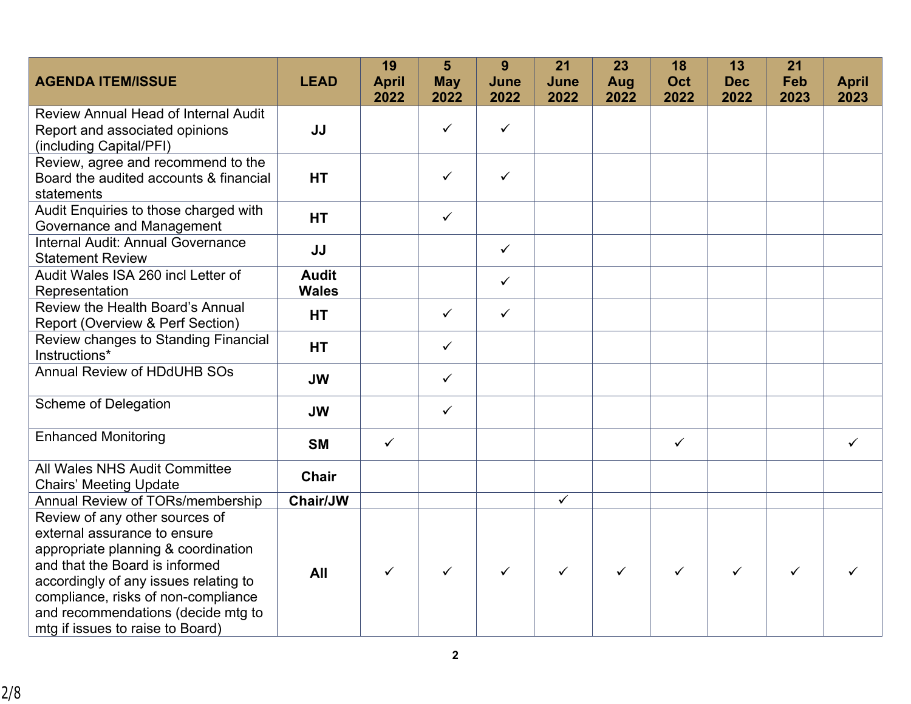|                                                                               |                              | 19           | 5            | 9            | 21           | 23           | 18           | 13           | 21           |              |
|-------------------------------------------------------------------------------|------------------------------|--------------|--------------|--------------|--------------|--------------|--------------|--------------|--------------|--------------|
| <b>AGENDA ITEM/ISSUE</b>                                                      | <b>LEAD</b>                  | <b>April</b> | <b>May</b>   | June         | June         | Aug          | Oct          | <b>Dec</b>   | Feb          | <b>April</b> |
|                                                                               |                              | 2022         | 2022         | 2022         | 2022         | 2022         | 2022         | 2022         | 2023         | 2023         |
| <b>Review Annual Head of Internal Audit</b><br>Report and associated opinions | JJ                           |              | $\checkmark$ | ✓            |              |              |              |              |              |              |
| (including Capital/PFI)                                                       |                              |              |              |              |              |              |              |              |              |              |
| Review, agree and recommend to the                                            |                              |              |              |              |              |              |              |              |              |              |
| Board the audited accounts & financial<br>statements                          | <b>HT</b>                    |              | $\checkmark$ | $\checkmark$ |              |              |              |              |              |              |
| Audit Enquiries to those charged with<br>Governance and Management            | <b>HT</b>                    |              | $\checkmark$ |              |              |              |              |              |              |              |
| Internal Audit: Annual Governance                                             |                              |              |              | $\checkmark$ |              |              |              |              |              |              |
| <b>Statement Review</b>                                                       | JJ                           |              |              |              |              |              |              |              |              |              |
| Audit Wales ISA 260 incl Letter of<br>Representation                          | <b>Audit</b><br><b>Wales</b> |              |              | $\checkmark$ |              |              |              |              |              |              |
| Review the Health Board's Annual                                              |                              |              |              |              |              |              |              |              |              |              |
| Report (Overview & Perf Section)                                              | <b>HT</b>                    |              | $\checkmark$ | $\checkmark$ |              |              |              |              |              |              |
| Review changes to Standing Financial                                          | <b>HT</b>                    |              | $\checkmark$ |              |              |              |              |              |              |              |
| Instructions*                                                                 |                              |              |              |              |              |              |              |              |              |              |
| <b>Annual Review of HDdUHB SOs</b>                                            | <b>JW</b>                    |              | $\checkmark$ |              |              |              |              |              |              |              |
| <b>Scheme of Delegation</b>                                                   | <b>JW</b>                    |              | $\checkmark$ |              |              |              |              |              |              |              |
| <b>Enhanced Monitoring</b>                                                    | <b>SM</b>                    | $\checkmark$ |              |              |              |              | $\checkmark$ |              |              | ✓            |
| All Wales NHS Audit Committee<br><b>Chairs' Meeting Update</b>                | <b>Chair</b>                 |              |              |              |              |              |              |              |              |              |
| Annual Review of TORs/membership                                              | Chair/JW                     |              |              |              | $\checkmark$ |              |              |              |              |              |
| Review of any other sources of                                                |                              |              |              |              |              |              |              |              |              |              |
| external assurance to ensure                                                  |                              |              |              |              |              |              |              |              |              |              |
| appropriate planning & coordination                                           |                              |              |              |              |              |              |              |              |              |              |
| and that the Board is informed                                                | All                          | $\checkmark$ | ✓            | $\checkmark$ | $\checkmark$ | $\checkmark$ | $\checkmark$ | $\checkmark$ | $\checkmark$ |              |
| accordingly of any issues relating to                                         |                              |              |              |              |              |              |              |              |              |              |
| compliance, risks of non-compliance                                           |                              |              |              |              |              |              |              |              |              |              |
| and recommendations (decide mtg to                                            |                              |              |              |              |              |              |              |              |              |              |
| mtg if issues to raise to Board)                                              |                              |              |              |              |              |              |              |              |              |              |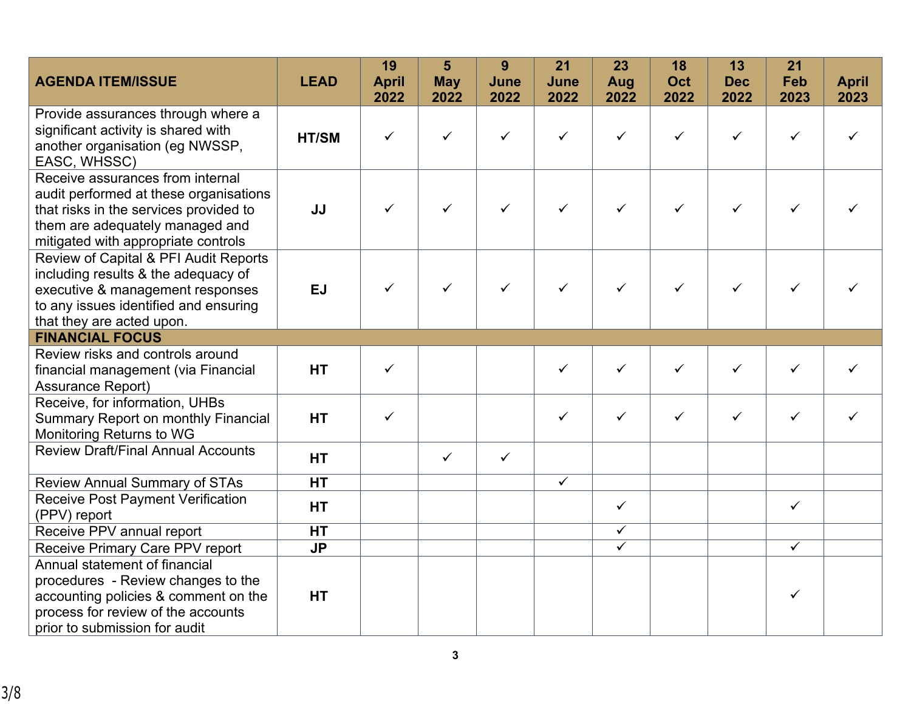| <b>AGENDA ITEM/ISSUE</b>                                                                                                                                                                       | <b>LEAD</b> | 19<br><b>April</b><br>2022 | 5<br><b>May</b><br>2022 | 9<br>June<br>2022 | 21<br>June<br>2022 | 23<br>Aug<br>2022       | 18<br>Oct<br>2022 | 13<br><b>Dec</b><br>2022 | 21<br>Feb<br>2023 | <b>April</b><br>2023 |
|------------------------------------------------------------------------------------------------------------------------------------------------------------------------------------------------|-------------|----------------------------|-------------------------|-------------------|--------------------|-------------------------|-------------------|--------------------------|-------------------|----------------------|
| Provide assurances through where a<br>significant activity is shared with<br>another organisation (eg NWSSP,<br>EASC, WHSSC)                                                                   | HT/SM       | $\checkmark$               | $\checkmark$            | $\checkmark$      | ✓                  | $\checkmark$            | $\checkmark$      | $\checkmark$             | ✓                 |                      |
| Receive assurances from internal<br>audit performed at these organisations<br>that risks in the services provided to<br>them are adequately managed and<br>mitigated with appropriate controls | JJ          | $\checkmark$               | $\checkmark$            | $\checkmark$      | ✓                  | $\checkmark$            | ✓                 | $\checkmark$             | $\checkmark$      |                      |
| Review of Capital & PFI Audit Reports<br>including results & the adequacy of<br>executive & management responses<br>to any issues identified and ensuring<br>that they are acted upon.         | <b>EJ</b>   | $\checkmark$               | $\checkmark$            | $\checkmark$      | $\checkmark$       | $\checkmark$            | $\checkmark$      | ✓                        |                   |                      |
| <b>FINANCIAL FOCUS</b>                                                                                                                                                                         |             |                            |                         |                   |                    |                         |                   |                          |                   |                      |
| Review risks and controls around<br>financial management (via Financial<br>Assurance Report)                                                                                                   | <b>HT</b>   | $\checkmark$               |                         |                   | $\checkmark$       | $\checkmark$            | $\checkmark$      | $\checkmark$             | $\checkmark$      |                      |
| Receive, for information, UHBs<br>Summary Report on monthly Financial<br>Monitoring Returns to WG                                                                                              | <b>HT</b>   | $\checkmark$               |                         |                   | ✓                  | $\checkmark$            | $\checkmark$      | $\checkmark$             | $\checkmark$      | ✓                    |
| <b>Review Draft/Final Annual Accounts</b>                                                                                                                                                      | <b>HT</b>   |                            | $\checkmark$            | $\checkmark$      |                    |                         |                   |                          |                   |                      |
| <b>Review Annual Summary of STAs</b>                                                                                                                                                           | <b>HT</b>   |                            |                         |                   | $\checkmark$       |                         |                   |                          |                   |                      |
| <b>Receive Post Payment Verification</b><br>(PPV) report                                                                                                                                       | <b>HT</b>   |                            |                         |                   |                    | $\checkmark$            |                   |                          | $\checkmark$      |                      |
| Receive PPV annual report                                                                                                                                                                      | <b>HT</b>   |                            |                         |                   |                    | $\overline{\checkmark}$ |                   |                          |                   |                      |
| Receive Primary Care PPV report                                                                                                                                                                | <b>JP</b>   |                            |                         |                   |                    | $\overline{\checkmark}$ |                   |                          | $\checkmark$      |                      |
| Annual statement of financial<br>procedures - Review changes to the<br>accounting policies & comment on the<br>process for review of the accounts<br>prior to submission for audit             | <b>HT</b>   |                            |                         |                   |                    |                         |                   |                          | ✓                 |                      |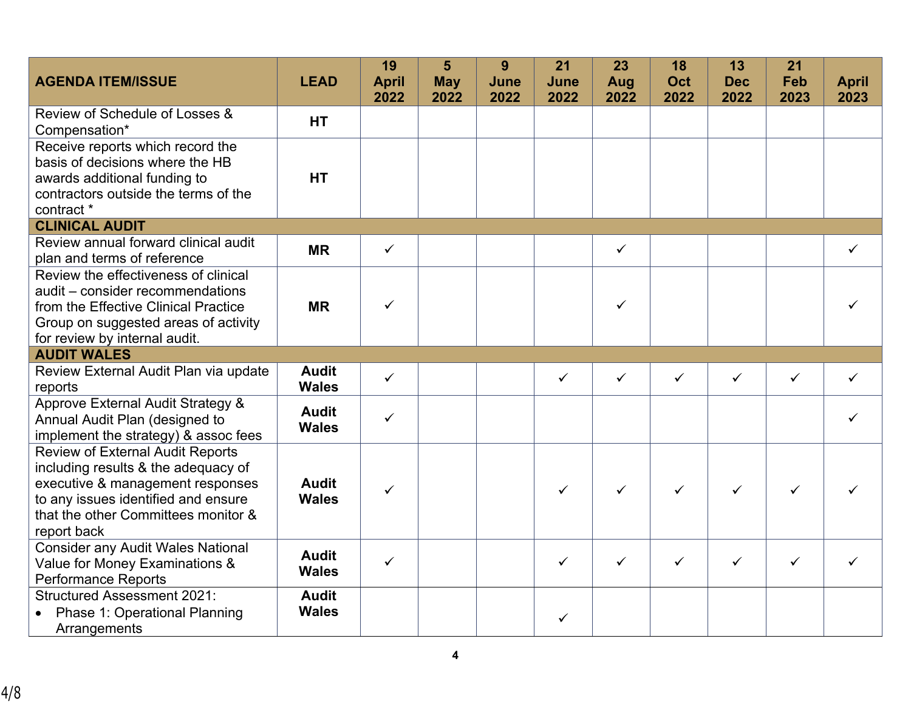|                                                                                |              | 19           | 5          | 9    | 21   | 23           | 18           | 13           | 21           |              |
|--------------------------------------------------------------------------------|--------------|--------------|------------|------|------|--------------|--------------|--------------|--------------|--------------|
| <b>AGENDA ITEM/ISSUE</b>                                                       | <b>LEAD</b>  | <b>April</b> | <b>May</b> | June | June | Aug          | Oct          | <b>Dec</b>   | Feb          | <b>April</b> |
| Review of Schedule of Losses &                                                 |              | 2022         | 2022       | 2022 | 2022 | 2022         | 2022         | 2022         | 2023         | 2023         |
| Compensation*                                                                  | <b>HT</b>    |              |            |      |      |              |              |              |              |              |
| Receive reports which record the                                               |              |              |            |      |      |              |              |              |              |              |
| basis of decisions where the HB                                                |              |              |            |      |      |              |              |              |              |              |
| awards additional funding to<br>contractors outside the terms of the           | <b>HT</b>    |              |            |      |      |              |              |              |              |              |
| contract *                                                                     |              |              |            |      |      |              |              |              |              |              |
| <b>CLINICAL AUDIT</b>                                                          |              |              |            |      |      |              |              |              |              |              |
| Review annual forward clinical audit                                           |              | $\checkmark$ |            |      |      | $\checkmark$ |              |              |              | ✓            |
| plan and terms of reference                                                    | <b>MR</b>    |              |            |      |      |              |              |              |              |              |
| Review the effectiveness of clinical                                           |              |              |            |      |      |              |              |              |              |              |
| audit - consider recommendations                                               |              |              |            |      |      |              |              |              |              |              |
| from the Effective Clinical Practice                                           | <b>MR</b>    | $\checkmark$ |            |      |      | ✓            |              |              |              |              |
| Group on suggested areas of activity<br>for review by internal audit.          |              |              |            |      |      |              |              |              |              |              |
| <b>AUDIT WALES</b>                                                             |              |              |            |      |      |              |              |              |              |              |
| Review External Audit Plan via update                                          | <b>Audit</b> |              |            |      |      |              |              |              |              |              |
| reports                                                                        | <b>Wales</b> | $\checkmark$ |            |      | ✓    | $\checkmark$ | $\checkmark$ | $\checkmark$ | $\checkmark$ | ✓            |
| Approve External Audit Strategy &                                              | <b>Audit</b> |              |            |      |      |              |              |              |              |              |
| Annual Audit Plan (designed to                                                 | <b>Wales</b> | $\checkmark$ |            |      |      |              |              |              |              | ✓            |
| implement the strategy) & assoc fees                                           |              |              |            |      |      |              |              |              |              |              |
| <b>Review of External Audit Reports</b><br>including results & the adequacy of |              |              |            |      |      |              |              |              |              |              |
| executive & management responses                                               | <b>Audit</b> |              |            |      |      |              |              |              |              |              |
| to any issues identified and ensure                                            | <b>Wales</b> | $\checkmark$ |            |      | ✓    | $\checkmark$ | ✓            | ✓            | ✓            |              |
| that the other Committees monitor &                                            |              |              |            |      |      |              |              |              |              |              |
| report back                                                                    |              |              |            |      |      |              |              |              |              |              |
| <b>Consider any Audit Wales National</b>                                       | <b>Audit</b> |              |            |      |      |              |              |              |              |              |
| Value for Money Examinations &                                                 | <b>Wales</b> | $\checkmark$ |            |      | ✓    | $\checkmark$ | $\checkmark$ | $\checkmark$ | $\checkmark$ | ✓            |
| <b>Performance Reports</b>                                                     |              |              |            |      |      |              |              |              |              |              |
| <b>Structured Assessment 2021:</b>                                             | <b>Audit</b> |              |            |      |      |              |              |              |              |              |
| • Phase 1: Operational Planning                                                | <b>Wales</b> |              |            |      | ✓    |              |              |              |              |              |
| Arrangements                                                                   |              |              |            |      |      |              |              |              |              |              |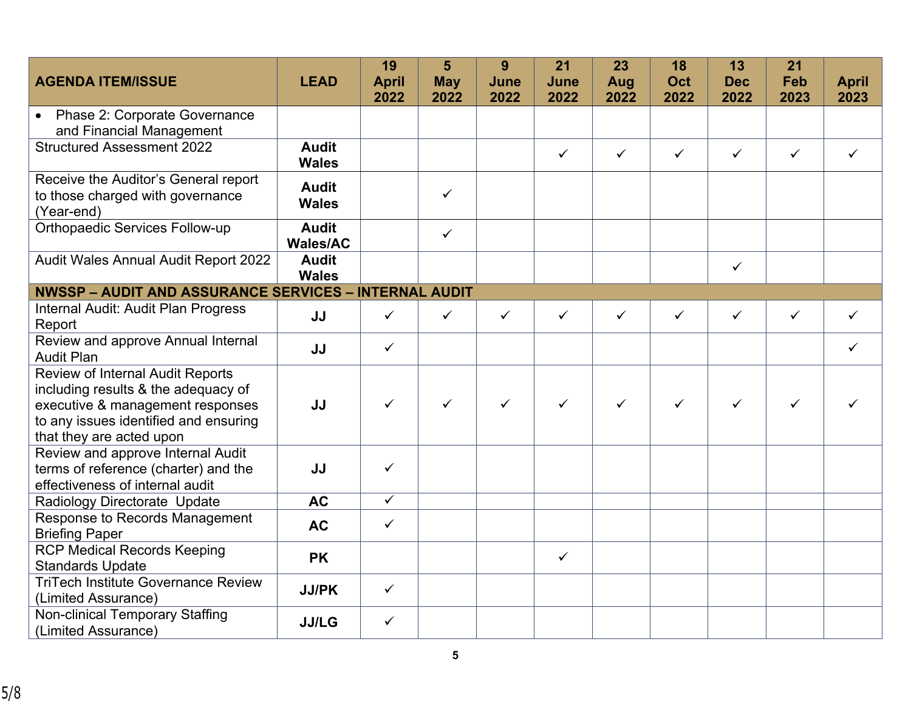|                                                                                                                                                                                                                                                                                                                                                                                                                                                                                     |                       | 19                           | 5            | 9            | 21           | 23           | 18           | 13           | 21           |              |
|-------------------------------------------------------------------------------------------------------------------------------------------------------------------------------------------------------------------------------------------------------------------------------------------------------------------------------------------------------------------------------------------------------------------------------------------------------------------------------------|-----------------------|------------------------------|--------------|--------------|--------------|--------------|--------------|--------------|--------------|--------------|
| <b>AGENDA ITEM/ISSUE</b>                                                                                                                                                                                                                                                                                                                                                                                                                                                            | <b>LEAD</b>           | <b>April</b>                 | <b>May</b>   | June         | June         | Aug          | Oct          | <b>Dec</b>   | Feb          | <b>April</b> |
|                                                                                                                                                                                                                                                                                                                                                                                                                                                                                     |                       | 2022                         | 2022         | 2022         | 2022         | 2022         | 2022         | 2022         | 2023         | 2023         |
| • Phase 2: Corporate Governance                                                                                                                                                                                                                                                                                                                                                                                                                                                     |                       |                              |              |              |              |              |              |              |              |              |
| and Financial Management                                                                                                                                                                                                                                                                                                                                                                                                                                                            |                       |                              |              |              |              |              |              |              |              |              |
| <b>Structured Assessment 2022</b>                                                                                                                                                                                                                                                                                                                                                                                                                                                   | <b>Audit</b>          |                              |              |              | $\checkmark$ | $\checkmark$ | $\checkmark$ | $\checkmark$ | $\checkmark$ | $\checkmark$ |
|                                                                                                                                                                                                                                                                                                                                                                                                                                                                                     | <b>Wales</b>          |                              |              |              |              |              |              |              |              |              |
| Receive the Auditor's General report                                                                                                                                                                                                                                                                                                                                                                                                                                                | <b>Audit</b>          |                              |              |              |              |              |              |              |              |              |
| to those charged with governance                                                                                                                                                                                                                                                                                                                                                                                                                                                    | <b>Wales</b>          |                              | $\checkmark$ |              |              |              |              |              |              |              |
| (Year-end)                                                                                                                                                                                                                                                                                                                                                                                                                                                                          |                       |                              |              |              |              |              |              |              |              |              |
| <b>Orthopaedic Services Follow-up</b>                                                                                                                                                                                                                                                                                                                                                                                                                                               | <b>Audit</b>          |                              | $\checkmark$ |              |              |              |              |              |              |              |
|                                                                                                                                                                                                                                                                                                                                                                                                                                                                                     | <b>Wales/AC</b>       |                              |              |              |              |              |              |              |              |              |
| Audit Wales Annual Audit Report 2022                                                                                                                                                                                                                                                                                                                                                                                                                                                | <b>Audit</b>          |                              |              |              |              |              |              | $\checkmark$ |              |              |
| <b>NWSSP - AUDIT AND ASSURANCE SERVICES - INTERNAL AUDIT</b>                                                                                                                                                                                                                                                                                                                                                                                                                        | <b>Wales</b>          |                              |              |              |              |              |              |              |              |              |
|                                                                                                                                                                                                                                                                                                                                                                                                                                                                                     |                       |                              |              |              |              |              |              |              |              |              |
| Internal Audit: Audit Plan Progress<br>Report                                                                                                                                                                                                                                                                                                                                                                                                                                       | JJ                    | $\checkmark$                 | $\checkmark$ | $\checkmark$ | ✓            | $\checkmark$ | $\checkmark$ | $\checkmark$ | $\checkmark$ | ✓            |
| Review and approve Annual Internal                                                                                                                                                                                                                                                                                                                                                                                                                                                  |                       | $\checkmark$                 |              |              |              |              |              |              |              | ✓            |
| <b>Audit Plan</b>                                                                                                                                                                                                                                                                                                                                                                                                                                                                   | JJ                    |                              |              |              |              |              |              |              |              |              |
| <b>Review of Internal Audit Reports</b>                                                                                                                                                                                                                                                                                                                                                                                                                                             |                       |                              |              |              |              |              |              |              |              |              |
| including results & the adequacy of                                                                                                                                                                                                                                                                                                                                                                                                                                                 |                       |                              |              |              |              |              |              |              |              |              |
| executive & management responses                                                                                                                                                                                                                                                                                                                                                                                                                                                    |                       | $\checkmark$                 | $\checkmark$ | $\checkmark$ | $\checkmark$ |              |              | ✓            | ✓            | ✓            |
|                                                                                                                                                                                                                                                                                                                                                                                                                                                                                     |                       |                              |              |              |              |              |              |              |              |              |
|                                                                                                                                                                                                                                                                                                                                                                                                                                                                                     |                       |                              |              |              |              |              |              |              |              |              |
|                                                                                                                                                                                                                                                                                                                                                                                                                                                                                     |                       |                              |              |              |              |              |              |              |              |              |
|                                                                                                                                                                                                                                                                                                                                                                                                                                                                                     |                       |                              |              |              |              |              |              |              |              |              |
|                                                                                                                                                                                                                                                                                                                                                                                                                                                                                     |                       |                              |              |              |              |              |              |              |              |              |
|                                                                                                                                                                                                                                                                                                                                                                                                                                                                                     |                       |                              |              |              |              |              |              |              |              |              |
|                                                                                                                                                                                                                                                                                                                                                                                                                                                                                     | <b>AC</b>             | $\checkmark$                 |              |              |              |              |              |              |              |              |
|                                                                                                                                                                                                                                                                                                                                                                                                                                                                                     |                       |                              |              |              |              |              |              |              |              |              |
|                                                                                                                                                                                                                                                                                                                                                                                                                                                                                     | <b>PK</b>             |                              |              |              | $\checkmark$ |              |              |              |              |              |
|                                                                                                                                                                                                                                                                                                                                                                                                                                                                                     |                       |                              |              |              |              |              |              |              |              |              |
|                                                                                                                                                                                                                                                                                                                                                                                                                                                                                     | <b>JJ/PK</b>          | $\checkmark$                 |              |              |              |              |              |              |              |              |
|                                                                                                                                                                                                                                                                                                                                                                                                                                                                                     |                       |                              |              |              |              |              |              |              |              |              |
|                                                                                                                                                                                                                                                                                                                                                                                                                                                                                     | <b>JJ/LG</b>          | $\checkmark$                 |              |              |              |              |              |              |              |              |
| to any issues identified and ensuring<br>that they are acted upon<br>Review and approve Internal Audit<br>terms of reference (charter) and the<br>effectiveness of internal audit<br>Radiology Directorate Update<br>Response to Records Management<br><b>Briefing Paper</b><br><b>RCP Medical Records Keeping</b><br><b>Standards Update</b><br><b>TriTech Institute Governance Review</b><br>(Limited Assurance)<br><b>Non-clinical Temporary Staffing</b><br>(Limited Assurance) | JJ<br>JJ<br><b>AC</b> | $\checkmark$<br>$\checkmark$ |              |              |              | $\checkmark$ | $\checkmark$ |              |              |              |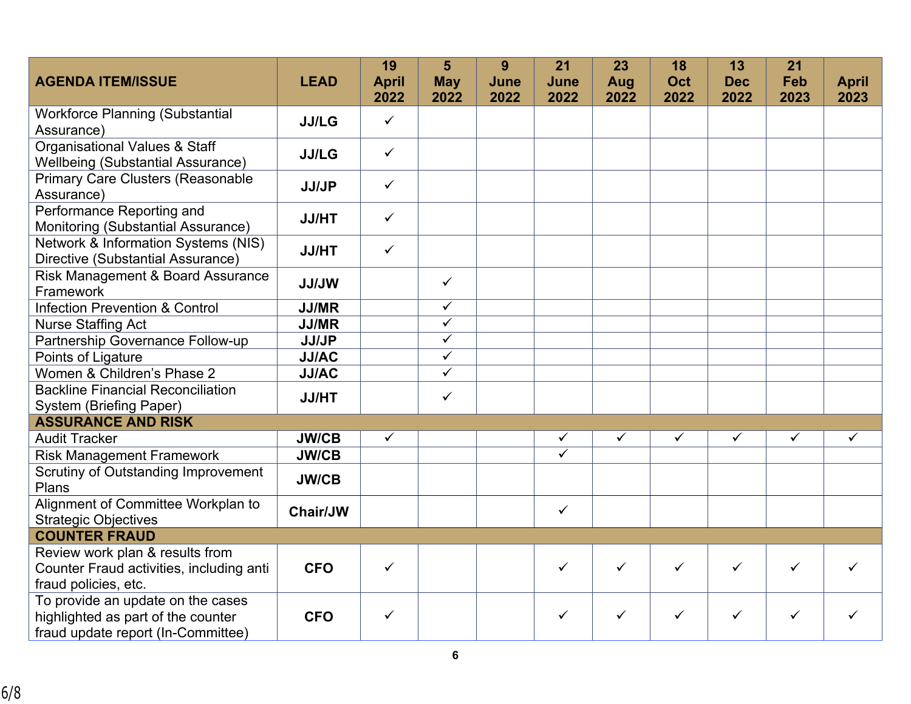|                                                                                                               |              | 19           | 5                       | 9    | 21                      | 23           | 18           | 13           | 21           |              |
|---------------------------------------------------------------------------------------------------------------|--------------|--------------|-------------------------|------|-------------------------|--------------|--------------|--------------|--------------|--------------|
| <b>AGENDA ITEM/ISSUE</b>                                                                                      | <b>LEAD</b>  | <b>April</b> | <b>May</b>              | June | June                    | Aug          | Oct          | <b>Dec</b>   | Feb          | <b>April</b> |
|                                                                                                               |              | 2022         | 2022                    | 2022 | 2022                    | 2022         | 2022         | 2022         | 2023         | 2023         |
| <b>Workforce Planning (Substantial</b><br>Assurance)                                                          | <b>JJ/LG</b> | $\checkmark$ |                         |      |                         |              |              |              |              |              |
| <b>Organisational Values &amp; Staff</b><br><b>Wellbeing (Substantial Assurance)</b>                          | <b>JJ/LG</b> | $\checkmark$ |                         |      |                         |              |              |              |              |              |
| <b>Primary Care Clusters (Reasonable</b><br>Assurance)                                                        | <b>JJ/JP</b> | $\checkmark$ |                         |      |                         |              |              |              |              |              |
| Performance Reporting and<br>Monitoring (Substantial Assurance)                                               | <b>JJ/HT</b> | $\checkmark$ |                         |      |                         |              |              |              |              |              |
| Network & Information Systems (NIS)<br>Directive (Substantial Assurance)                                      | <b>JJ/HT</b> | $\checkmark$ |                         |      |                         |              |              |              |              |              |
| Risk Management & Board Assurance<br>Framework                                                                | <b>JJ/JW</b> |              | $\checkmark$            |      |                         |              |              |              |              |              |
| <b>Infection Prevention &amp; Control</b>                                                                     | <b>JJ/MR</b> |              | $\overline{\checkmark}$ |      |                         |              |              |              |              |              |
| <b>Nurse Staffing Act</b>                                                                                     | <b>JJ/MR</b> |              | $\overline{\checkmark}$ |      |                         |              |              |              |              |              |
| Partnership Governance Follow-up                                                                              | <b>JJ/JP</b> |              | $\overline{\checkmark}$ |      |                         |              |              |              |              |              |
| Points of Ligature                                                                                            | <b>JJ/AC</b> |              | $\checkmark$            |      |                         |              |              |              |              |              |
| Women & Children's Phase 2                                                                                    | <b>JJ/AC</b> |              | $\checkmark$            |      |                         |              |              |              |              |              |
| <b>Backline Financial Reconciliation</b><br>System (Briefing Paper)                                           | <b>JJ/HT</b> |              | $\checkmark$            |      |                         |              |              |              |              |              |
| <b>ASSURANCE AND RISK</b>                                                                                     |              |              |                         |      |                         |              |              |              |              |              |
| <b>Audit Tracker</b>                                                                                          | <b>JW/CB</b> | $\checkmark$ |                         |      | $\checkmark$            | $\checkmark$ | ✓            | $\checkmark$ | ✓            | ✓            |
| <b>Risk Management Framework</b>                                                                              | <b>JW/CB</b> |              |                         |      | $\overline{\checkmark}$ |              |              |              |              |              |
| <b>Scrutiny of Outstanding Improvement</b>                                                                    |              |              |                         |      |                         |              |              |              |              |              |
| Plans                                                                                                         | <b>JW/CB</b> |              |                         |      |                         |              |              |              |              |              |
| Alignment of Committee Workplan to<br><b>Strategic Objectives</b>                                             | Chair/JW     |              |                         |      | $\checkmark$            |              |              |              |              |              |
| <b>COUNTER FRAUD</b>                                                                                          |              |              |                         |      |                         |              |              |              |              |              |
| Review work plan & results from<br>Counter Fraud activities, including anti<br>fraud policies, etc.           | <b>CFO</b>   | $\checkmark$ |                         |      | $\checkmark$            | $\checkmark$ | $\checkmark$ | ✓            | $\checkmark$ | ✓            |
| To provide an update on the cases<br>highlighted as part of the counter<br>fraud update report (In-Committee) | <b>CFO</b>   | $\checkmark$ |                         |      | ✓                       | $\checkmark$ | ✓            | ✓            | ✓            |              |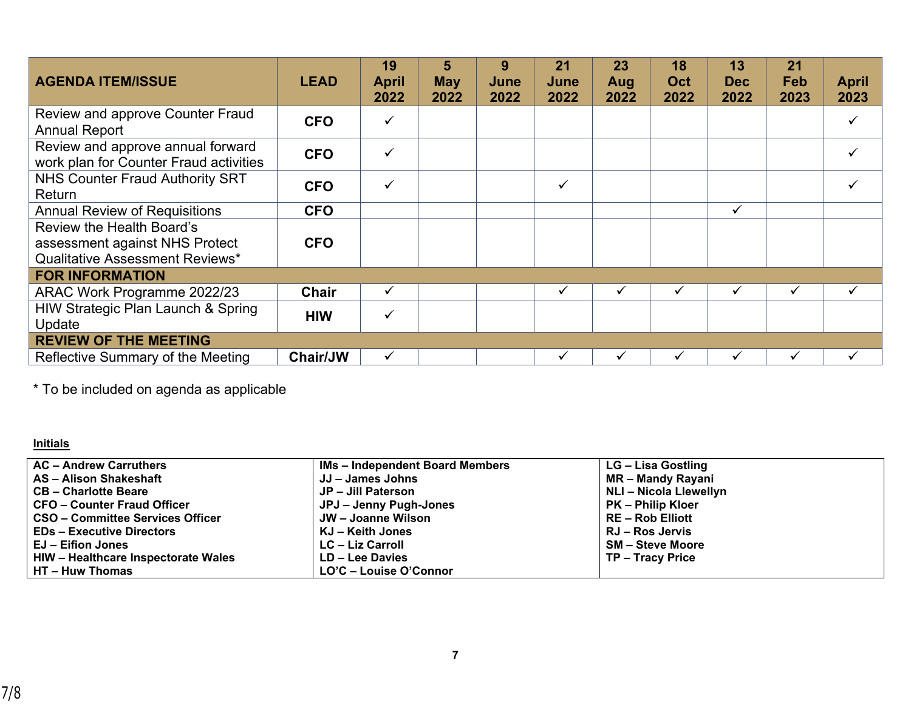| <b>AGENDA ITEM/ISSUE</b>                                                                              | <b>LEAD</b>     | 19<br><b>April</b><br>2022 | 5<br><b>May</b><br>2022 | 9<br>June<br>2022 | 21<br>June<br>2022 | 23<br>Aug<br>2022 | 18<br>Oct<br>2022 | 13<br>Dec<br>2022 | 21<br><b>Feb</b><br>2023 | <b>April</b><br>2023 |
|-------------------------------------------------------------------------------------------------------|-----------------|----------------------------|-------------------------|-------------------|--------------------|-------------------|-------------------|-------------------|--------------------------|----------------------|
| Review and approve Counter Fraud<br><b>Annual Report</b>                                              | <b>CFO</b>      | $\checkmark$               |                         |                   |                    |                   |                   |                   |                          |                      |
| Review and approve annual forward<br>work plan for Counter Fraud activities                           | <b>CFO</b>      | $\checkmark$               |                         |                   |                    |                   |                   |                   |                          |                      |
| <b>NHS Counter Fraud Authority SRT</b><br>Return                                                      | <b>CFO</b>      | $\checkmark$               |                         |                   | $\checkmark$       |                   |                   |                   |                          |                      |
| <b>Annual Review of Requisitions</b>                                                                  | <b>CFO</b>      |                            |                         |                   |                    |                   |                   | ✓                 |                          |                      |
| Review the Health Board's<br>assessment against NHS Protect<br><b>Qualitative Assessment Reviews*</b> | <b>CFO</b>      |                            |                         |                   |                    |                   |                   |                   |                          |                      |
| <b>FOR INFORMATION</b>                                                                                |                 |                            |                         |                   |                    |                   |                   |                   |                          |                      |
| ARAC Work Programme 2022/23                                                                           | Chair           | $\checkmark$               |                         |                   | $\checkmark$       | $\checkmark$      | ✓                 | $\checkmark$      | ✓                        | ✓                    |
| HIW Strategic Plan Launch & Spring<br>Update                                                          | <b>HIW</b>      | $\checkmark$               |                         |                   |                    |                   |                   |                   |                          |                      |
| <b>REVIEW OF THE MEETING</b>                                                                          |                 |                            |                         |                   |                    |                   |                   |                   |                          |                      |
| Reflective Summary of the Meeting                                                                     | <b>Chair/JW</b> | $\checkmark$               |                         |                   | ✓                  | $\checkmark$      | ✓                 |                   |                          | ✓                    |

\* To be included on agenda as applicable

## **Initials**

| <b>AC - Andrew Carruthers</b>           | <b>IMs – Independent Board Members</b> | LG - Lisa Gostling       |
|-----------------------------------------|----------------------------------------|--------------------------|
| AS - Alison Shakeshaft                  | JJ – James Johns                       | MR – Mandy Rayani        |
| <b>CB-Charlotte Beare</b>               | JP - Jill Paterson                     | NLI – Nicola Llewellyn   |
| <b>CFO - Counter Fraud Officer</b>      | JPJ – Jenny Pugh-Jones                 | <b>PK – Philip Kloer</b> |
| <b>CSO - Committee Services Officer</b> | JW – Joanne Wilson                     | <b>RE-Rob Elliott</b>    |
| <b>EDs - Executive Directors</b>        | KJ – Keith Jones                       | <b>RJ – Ros Jervis</b>   |
| EJ - Eifion Jones                       | <b>LC – Liz Carroll</b>                | <b>SM - Steve Moore</b>  |
| HIW - Healthcare Inspectorate Wales     | LD – Lee Davies                        | TP - Tracy Price         |
| HT - Huw Thomas                         | LO'C - Louise O'Connor                 |                          |